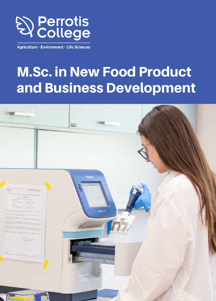

Agriculture · Environment · Life Sciences

## M.Sc. in New Food Product and Business Development